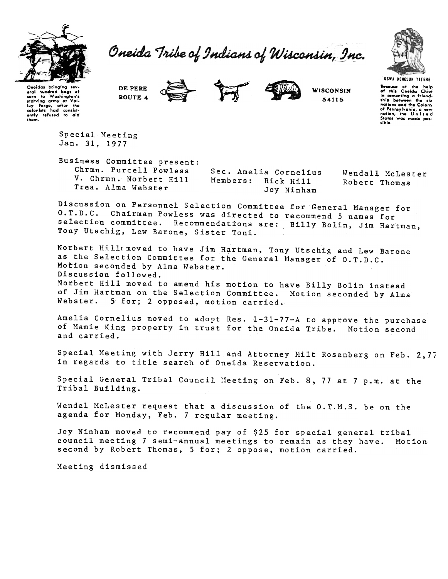

Oneida Tribe of Indians of Wisconsin, Inc.



Oneidas bringing aral hundred boas of  $\dddot{\bullet}$ Washingto corn to Washington's<br>starving army at Val-<br>ley Forge, after the<br>colonists had consistently refused to aid<br>them.

DE PERE ROUTE 4





**WISCONSIN** 54115

**UGWA DEHOLUN YATENE** .<br>It is Oneida' Chief<br>It is Oneida' Chief Bot in comenting a friend-<br>ship between the six of Pennsylvania, a new sible.

Special Meeting Jan. 31, 1977

Business Committee present: Chrmn. Purcell Powless V. Chrmn. Norbert Hill Trea. Alma Webster

Sec. Amelia Cornelius Members: Rick Hill Joy Ninham

Wendall McLester Robert Thomas

Discussion on Personnel Selection Committee for General Manager for O.T.D.C. Chairman Powless was directed to recommend 5 names for selection committee. Recommendations are: Billy Bolin, Jim Hartman, Tony Utschig, Lew Barone, Sister Toni.

Norbert HillImoved to have Jim Hartman, Tony Utschig and Lew Barone as the Selection Committee for the General Manager of O.T.D.C. Motion seconded by Alma Webster. Discussion followed. Norbert Hill moved to amend his motion to have Billy Bolin instead of Jim Hartman on the Selection Committee. Motion seconded by Alma Webster. 5 for; 2 opposed, motion carried.

Amelia Cornelius moved to adopt Res. 1-31-77-A to approve the purchase of Mamie King property in trust for the Oneida Tribe. Motion second and carried.

Special Meeting with Jerry Hill and Attorney Milt Rosenberg on Feb. 2,77 in regards to title search of Oneida Reservation.

Special General Tribal Council Meeting on Feb. 8, 77 at 7 p.m. at the Tribal Building.

Wendel McLester request that a discussion of the O.T.M.S. be on the agenda for Monday, Feb. 7 regular meeting.

Joy Ninham moved to recommend pay of \$25 for special general tribal council meeting 7 semi-annual meetings to remain as they have. Motion second by Robert Thomas, 5 for; 2 oppose, motion carried.

Meeting dismissed